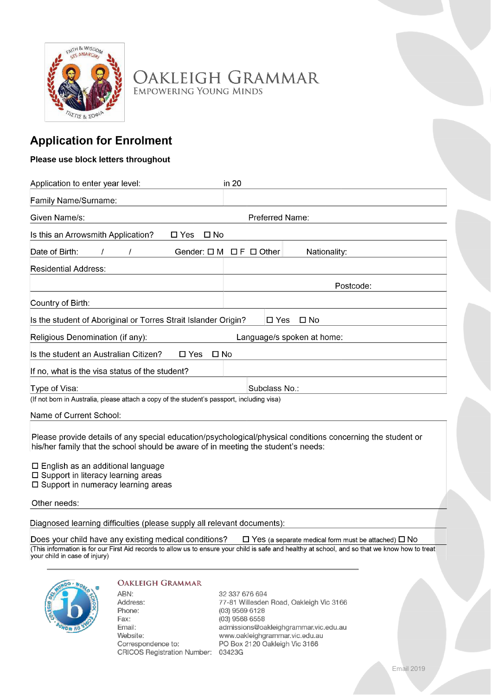

Oakleigh Grammar **EMPOWERING YOUNG MINDS** 

# **Application for Enrolment**

# Please use block letters throughout

| Application to enter year level:                                                           | in 20                                                       |  |
|--------------------------------------------------------------------------------------------|-------------------------------------------------------------|--|
| Family Name/Surname:                                                                       |                                                             |  |
| Given Name/s:                                                                              | Preferred Name:                                             |  |
| Is this an Arrowsmith Application?<br>$\square$ No<br>$\Box$ Yes                           |                                                             |  |
| Date of Birth:                                                                             | Gender: $\square M \square F \square$ Other<br>Nationality: |  |
| <b>Residential Address:</b>                                                                |                                                             |  |
|                                                                                            | Postcode:                                                   |  |
| Country of Birth:                                                                          |                                                             |  |
| Is the student of Aboriginal or Torres Strait Islander Origin?                             | $\Box$ Yes<br>□ No                                          |  |
| Religious Denomination (if any):<br>Language/s spoken at home:                             |                                                             |  |
| Is the student an Australian Citizen?<br>$\square$ Yes                                     | □ No                                                        |  |
| If no, what is the visa status of the student?                                             |                                                             |  |
| Type of Visa:                                                                              | Subclass No.:                                               |  |
| (If not born in Australia, please attach a copy of the student's passport, including visa) |                                                             |  |

Name of Current School:

Please provide details of any special education/psychological/physical conditions concerning the student or his/her family that the school should be aware of in meeting the student's needs:

 $\square$  English as an additional language

□ Support in literacy learning areas

□ Support in numeracy learning areas

Other needs:

Diagnosed learning difficulties (please supply all relevant documents):

Does your child have any existing medical conditions?  $\Box$  Yes (a separate medical form must be attached)  $\Box$  No (This information is for our First Aid records to allow us to ensure your child is safe and healthy at school, and so that we know how to treat your child in case of injury)



#### **OAKLEIGH GRAMMAR**

ABN: Address: Phone: Fax: Email: Website: Correspondence to: CRICOS Registration Number: 03423G

32 337 676 694 77-81 Willesden Road, Oakleigh Vic 3166 (03) 9569 6128 (03) 9568 6558 admissions@oakleighgrammar.vic.edu.au www.oakleighgrammar.vic.edu.au PO Box 2120 Oakleigh Vic 3166

**Email 2019**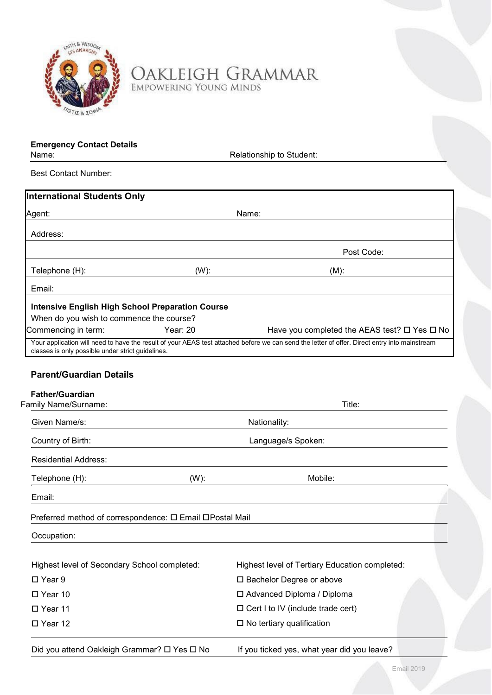

OAKLEIGH GRAMMAR

**Emergency Contact Details** 

Relationship to Student:

Best Contact Number:

| <b>International Students Only</b>                                                                  |                                                                                                                                               |  |  |  |
|-----------------------------------------------------------------------------------------------------|-----------------------------------------------------------------------------------------------------------------------------------------------|--|--|--|
| Agent:                                                                                              | Name:                                                                                                                                         |  |  |  |
| Address:                                                                                            |                                                                                                                                               |  |  |  |
|                                                                                                     | Post Code:                                                                                                                                    |  |  |  |
| Telephone (H):<br>$(W)$ :                                                                           | $(M)$ :                                                                                                                                       |  |  |  |
| Email:                                                                                              |                                                                                                                                               |  |  |  |
| <b>Intensive English High School Preparation Course</b><br>When do you wish to commence the course? |                                                                                                                                               |  |  |  |
| Year: 20<br>Commencing in term:                                                                     | Have you completed the AEAS test? $\Box$ Yes $\Box$ No                                                                                        |  |  |  |
| classes is only possible under strict guidelines.                                                   | Your application will need to have the result of your AEAS test attached before we can send the letter of offer. Direct entry into mainstream |  |  |  |
|                                                                                                     |                                                                                                                                               |  |  |  |
| <b>Parent/Guardian Details</b>                                                                      |                                                                                                                                               |  |  |  |
| <b>Father/Guardian</b><br>Family Name/Surname:                                                      | Title:                                                                                                                                        |  |  |  |
|                                                                                                     |                                                                                                                                               |  |  |  |
| Given Name/s:                                                                                       | Nationality:                                                                                                                                  |  |  |  |
| Country of Birth:                                                                                   | Language/s Spoken:                                                                                                                            |  |  |  |
| <b>Residential Address:</b>                                                                         |                                                                                                                                               |  |  |  |
| $(W)$ :<br>Telephone (H):                                                                           | Mobile:                                                                                                                                       |  |  |  |
| Email:                                                                                              |                                                                                                                                               |  |  |  |
| Preferred method of correspondence: □ Email □Postal Mail                                            |                                                                                                                                               |  |  |  |
| Occupation:                                                                                         |                                                                                                                                               |  |  |  |
|                                                                                                     |                                                                                                                                               |  |  |  |
| Highest level of Secondary School completed:                                                        | Highest level of Tertiary Education completed:                                                                                                |  |  |  |
| $\square$ Year 9                                                                                    | □ Bachelor Degree or above                                                                                                                    |  |  |  |
| $\Box$ Year 10                                                                                      | □ Advanced Diploma / Diploma                                                                                                                  |  |  |  |
| □ Year 11                                                                                           | $\Box$ Cert I to IV (include trade cert)                                                                                                      |  |  |  |
| □ Year 12                                                                                           | $\square$ No tertiary qualification                                                                                                           |  |  |  |
| Did you attend Oakleigh Grammar? □ Yes □ No                                                         | If you ticked yes, what year did you leave?                                                                                                   |  |  |  |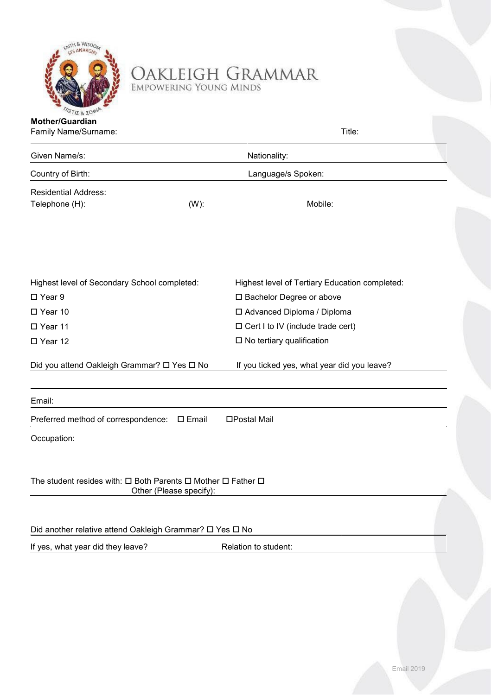

OAKLEIGH GRAMMAR

TIE & 20<sup>d</sup> **Mother/Guardian** 

| EMPOWERING YOUNG MINDS                                                    |  |
|---------------------------------------------------------------------------|--|
| アクリストライト ステッシュ ていきんきょう パンピューター スページ<br><b>FOR COLLECTIVITY CONTINUES.</b> |  |
|                                                                           |  |
|                                                                           |  |

| Family Name/Surname:                         | Title:                                         |  |  |  |
|----------------------------------------------|------------------------------------------------|--|--|--|
| Given Name/s:                                | Nationality:                                   |  |  |  |
| Country of Birth:                            | Language/s Spoken:                             |  |  |  |
| <b>Residential Address:</b>                  |                                                |  |  |  |
| $(W)$ :<br>Telephone (H):                    | Mobile:                                        |  |  |  |
|                                              |                                                |  |  |  |
| Highest level of Secondary School completed: | Highest level of Tertiary Education completed: |  |  |  |
| $\Box$ Year 9                                | □ Bachelor Degree or above                     |  |  |  |
| $\Box$ Year 10                               | □ Advanced Diploma / Diploma                   |  |  |  |
| □ Year 11                                    | $\Box$ Cert I to IV (include trade cert)       |  |  |  |
| □ Year 12                                    | $\square$ No tertiary qualification            |  |  |  |
| Did you attend Oakleigh Grammar? □ Yes □ No  | If you ticked yes, what year did you leave?    |  |  |  |
| Email:                                       |                                                |  |  |  |

Preferred method of correspondence: Email Postal Mail

Occupation:

The student resides with:  $\Box$  Both Parents  $\Box$  Mother  $\Box$  Father  $\Box$ Other (Please specify):

Did another relative attend Oakleigh Grammar? □ Yes □ No

If yes, what year did they leave? Relation to student: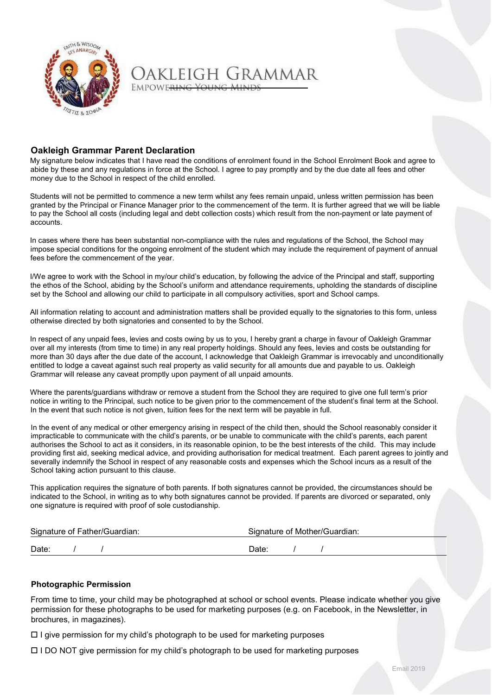

Jakleigh Grammar EMPOWERING YOUNG MIN

### **Oakleigh Grammar Parent Declaration**

My signature below indicates that I have read the conditions of enrolment found in the School Enrolment Book and agree to abide by these and any regulations in force at the School. I agree to pay promptly and by the due date all fees and other money due to the School in respect of the child enrolled.

Students will not be permitted to commence a new term whilst any fees remain unpaid, unless written permission has been granted by the Principal or Finance Manager prior to the commencement of the term. It is further agreed that we will be liable to pay the School all costs (including legal and debt collection costs) which result from the non-payment or late payment of accounts.

In cases where there has been substantial non-compliance with the rules and regulations of the School, the School may impose special conditions for the ongoing enrolment of the student which may include the requirement of payment of annual fees before the commencement of the year.

I/We agree to work with the School in my/our child's education, by following the advice of the Principal and staff, supporting the ethos of the School, abiding by the School's uniform and attendance requirements, upholding the standards of discipline set by the School and allowing our child to participate in all compulsory activities, sport and School camps.

All information relating to account and administration matters shall be provided equally to the signatories to this form, unless otherwise directed by both signatories and consented to by the School.

In respect of any unpaid fees, levies and costs owing by us to you, I hereby grant a charge in favour of Oakleigh Grammar over all my interests (from time to time) in any real property holdings. Should any fees, levies and costs be outstanding for more than 30 days after the due date of the account, I acknowledge that Oakleigh Grammar is irrevocably and unconditionally entitled to lodge a caveat against such real property as valid security for all amounts due and payable to us. Oakleigh Grammar will release any caveat promptly upon payment of all unpaid amounts.

Where the parents/guardians withdraw or remove a student from the School they are required to give one full term's prior notice in writing to the Principal, such notice to be given prior to the commencement of the student's final term at the School. In the event that such notice is not given, tuition fees for the next term will be payable in full.

In the event of any medical or other emergency arising in respect of the child then, should the School reasonably consider it impracticable to communicate with the child's parents, or be unable to communicate with the child's parents, each parent authorises the School to act as it considers, in its reasonable opinion, to be the best interests of the child. This may include providing first aid, seeking medical advice, and providing authorisation for medical treatment. Each parent agrees to jointly and severally indemnify the School in respect of any reasonable costs and expenses which the School incurs as a result of the School taking action pursuant to this clause.

This application requires the signature of both parents. If both signatures cannot be provided, the circumstances should be indicated to the School, in writing as to why both signatures cannot be provided. If parents are divorced or separated, only one signature is required with proof of sole custodianship.

|       | Signature of Father/Guardian: | Signature of Mother/Guardian: |  |  |  |
|-------|-------------------------------|-------------------------------|--|--|--|
| Date: |                               | Date:                         |  |  |  |

### **Photographic Permission**

From time to time, your child may be photographed at school or school events. Please indicate whether you give permission for these photographs to be used for marketing purposes (e.g. on Facebook, in the Newsletter, in brochures, in magazines).

 $\Box$  I give permission for my child's photograph to be used for marketing purposes

 $\Box$  I DO NOT give permission for my child's photograph to be used for marketing purposes